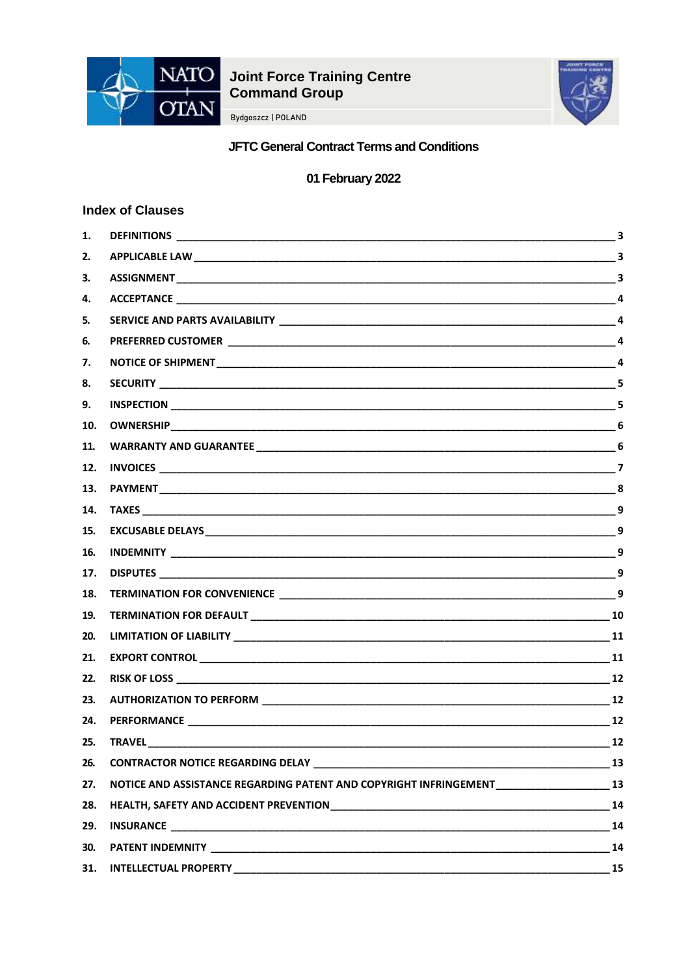

# **Joint Force Training Centre<br>Command Group**

Bydgoszcz | POLAND



# **JFTC General Contract Terms and Conditions**

01 February 2022

# **Index of Clauses**

| 1.  |                                                                                                | 3              |
|-----|------------------------------------------------------------------------------------------------|----------------|
| 2.  |                                                                                                |                |
| З.  |                                                                                                |                |
| 4.  |                                                                                                |                |
| 5.  |                                                                                                |                |
| 6.  |                                                                                                |                |
| 7.  |                                                                                                |                |
| 8.  |                                                                                                |                |
| 9.  |                                                                                                |                |
| 10. |                                                                                                |                |
| 11. |                                                                                                |                |
| 12. |                                                                                                |                |
| 13. |                                                                                                |                |
| 14. |                                                                                                |                |
| 15. |                                                                                                | $\overline{9}$ |
| 16. |                                                                                                |                |
| 17. |                                                                                                |                |
| 18. |                                                                                                |                |
| 19. |                                                                                                |                |
| 20. |                                                                                                |                |
| 21. |                                                                                                |                |
| 22. |                                                                                                |                |
| 23. |                                                                                                |                |
| 24. | PERFORMANCE 12                                                                                 |                |
| 25. | <b>TRAVEL</b>                                                                                  | 12             |
| 26. |                                                                                                |                |
| 27. | NOTICE AND ASSISTANCE REGARDING PATENT AND COPYRIGHT INFRINGEMENT __________________________13 |                |
| 28. |                                                                                                |                |
| 29. |                                                                                                |                |
| 30. |                                                                                                | 14             |
| 31. |                                                                                                | <b>15</b>      |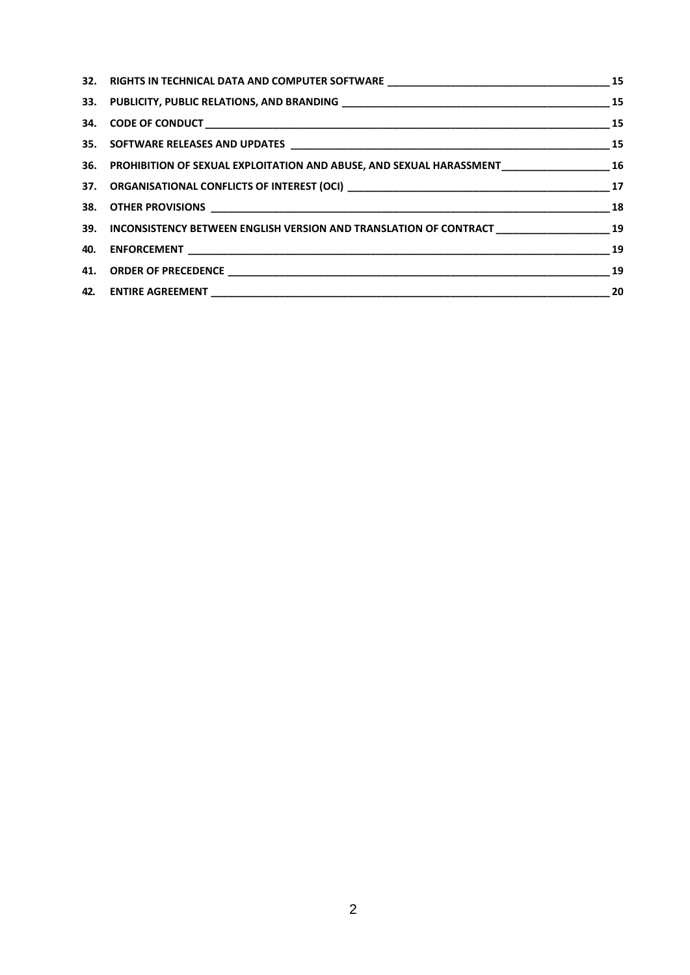| 36. PROHIBITION OF SEXUAL EXPLOITATION AND ABUSE, AND SEXUAL HARASSMENT_________________________16    |  |
|-------------------------------------------------------------------------------------------------------|--|
|                                                                                                       |  |
|                                                                                                       |  |
| 39. INCONSISTENCY BETWEEN ENGLISH VERSION AND TRANSLATION OF CONTRACT ____________________________ 19 |  |
|                                                                                                       |  |
|                                                                                                       |  |
|                                                                                                       |  |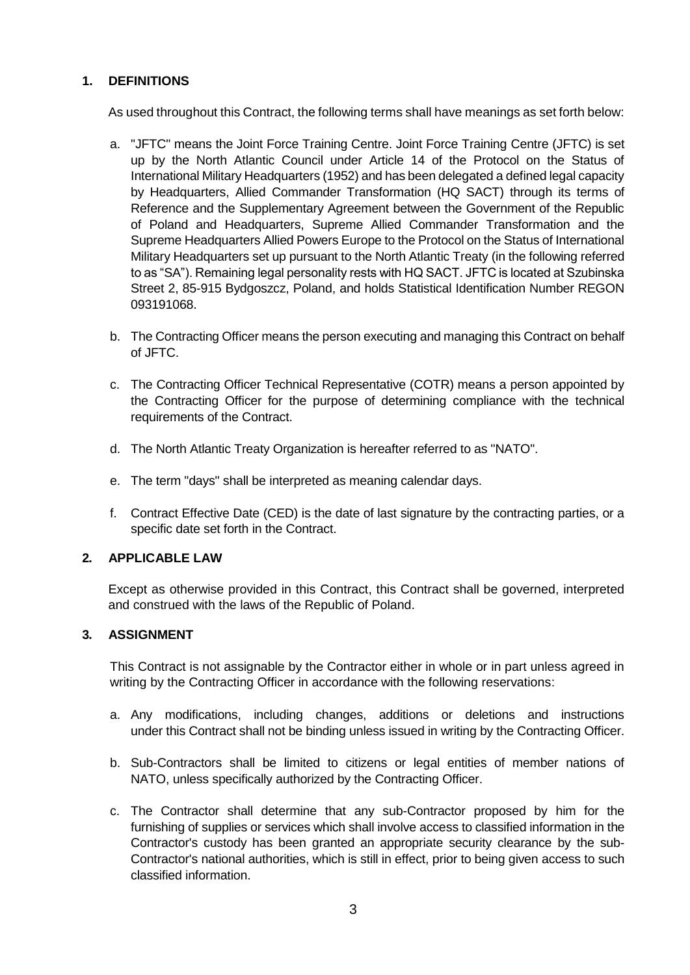# <span id="page-2-0"></span>**1. DEFINITIONS**

As used throughout this Contract, the following terms shall have meanings as set forth below:

- a. "JFTC" means the Joint Force Training Centre. Joint Force Training Centre (JFTC) is set up by the North Atlantic Council under Article 14 of the Protocol on the Status of International Military Headquarters (1952) and has been delegated a defined legal capacity by Headquarters, Allied Commander Transformation (HQ SACT) through its terms of Reference and the Supplementary Agreement between the Government of the Republic of Poland and Headquarters, Supreme Allied Commander Transformation and the Supreme Headquarters Allied Powers Europe to the Protocol on the Status of International Military Headquarters set up pursuant to the North Atlantic Treaty (in the following referred to as "SA"). Remaining legal personality rests with HQ SACT. JFTC is located at Szubinska Street 2, 85-915 Bydgoszcz, Poland, and holds Statistical Identification Number REGON 093191068.
- b. The Contracting Officer means the person executing and managing this Contract on behalf of JFTC.
- c. The Contracting Officer Technical Representative (COTR) means a person appointed by the Contracting Officer for the purpose of determining compliance with the technical requirements of the Contract.
- d. The North Atlantic Treaty Organization is hereafter referred to as "NATO".
- e. The term "days" shall be interpreted as meaning calendar days.
- f. Contract Effective Date (CED) is the date of last signature by the contracting parties, or a specific date set forth in the Contract.

# <span id="page-2-1"></span>**2. APPLICABLE LAW**

Except as otherwise provided in this Contract, this Contract shall be governed, interpreted and construed with the laws of the Republic of Poland.

#### <span id="page-2-2"></span>**3. ASSIGNMENT**

This Contract is not assignable by the Contractor either in whole or in part unless agreed in writing by the Contracting Officer in accordance with the following reservations:

- a. Any modifications, including changes, additions or deletions and instructions under this Contract shall not be binding unless issued in writing by the Contracting Officer.
- b. Sub-Contractors shall be limited to citizens or legal entities of member nations of NATO, unless specifically authorized by the Contracting Officer.
- c. The Contractor shall determine that any sub-Contractor proposed by him for the furnishing of supplies or services which shall involve access to classified information in the Contractor's custody has been granted an appropriate security clearance by the sub-Contractor's national authorities, which is still in effect, prior to being given access to such classified information.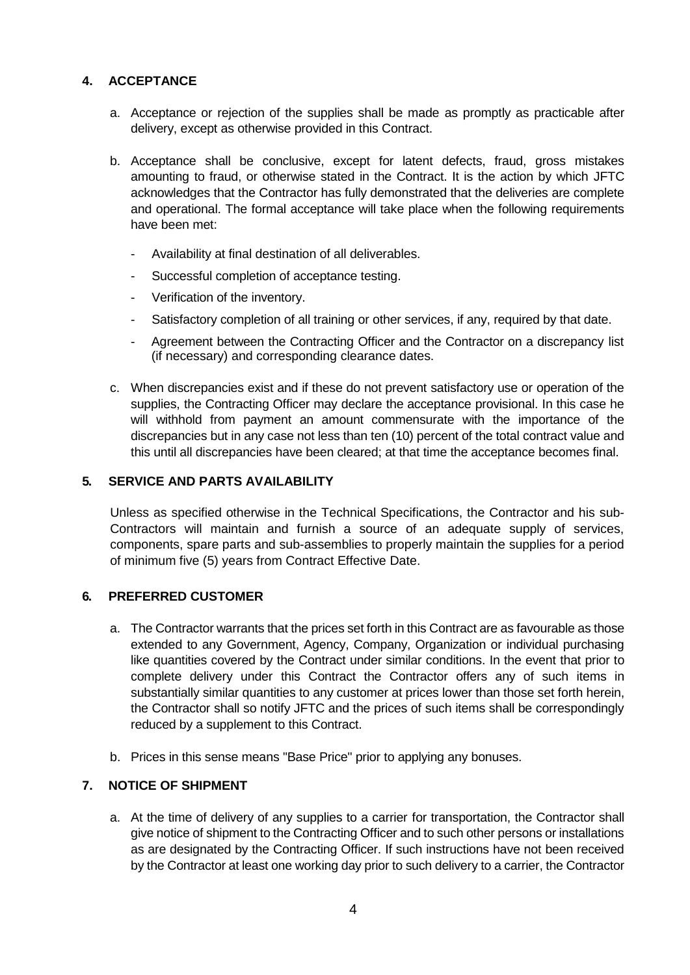# <span id="page-3-0"></span>**4. ACCEPTANCE**

- a. Acceptance or rejection of the supplies shall be made as promptly as practicable after delivery, except as otherwise provided in this Contract.
- b. Acceptance shall be conclusive, except for latent defects, fraud, gross mistakes amounting to fraud, or otherwise stated in the Contract. It is the action by which JFTC acknowledges that the Contractor has fully demonstrated that the deliveries are complete and operational. The formal acceptance will take place when the following requirements have been met:
	- Availability at final destination of all deliverables.
	- Successful completion of acceptance testing.
	- Verification of the inventory.
	- Satisfactory completion of all training or other services, if any, required by that date.
	- Agreement between the Contracting Officer and the Contractor on a discrepancy list (if necessary) and corresponding clearance dates.
- c. When discrepancies exist and if these do not prevent satisfactory use or operation of the supplies, the Contracting Officer may declare the acceptance provisional. In this case he will withhold from payment an amount commensurate with the importance of the discrepancies but in any case not less than ten (10) percent of the total contract value and this until all discrepancies have been cleared; at that time the acceptance becomes final.

# <span id="page-3-1"></span>**5. SERVICE AND PARTS AVAILABILITY**

Unless as specified otherwise in the Technical Specifications, the Contractor and his sub-Contractors will maintain and furnish a source of an adequate supply of services, components, spare parts and sub-assemblies to properly maintain the supplies for a period of minimum five (5) years from Contract Effective Date.

# <span id="page-3-2"></span>**6. PREFERRED CUSTOMER**

- a. The Contractor warrants that the prices set forth in this Contract are as favourable as those extended to any Government, Agency, Company, Organization or individual purchasing like quantities covered by the Contract under similar conditions. In the event that prior to complete delivery under this Contract the Contractor offers any of such items in substantially similar quantities to any customer at prices lower than those set forth herein, the Contractor shall so notify JFTC and the prices of such items shall be correspondingly reduced by a supplement to this Contract.
- b. Prices in this sense means "Base Price" prior to applying any bonuses.

# <span id="page-3-3"></span>**7. NOTICE OF SHIPMENT**

a. At the time of delivery of any supplies to a carrier for transportation, the Contractor shall give notice of shipment to the Contracting Officer and to such other persons or installations as are designated by the Contracting Officer. If such instructions have not been received by the Contractor at least one working day prior to such delivery to a carrier, the Contractor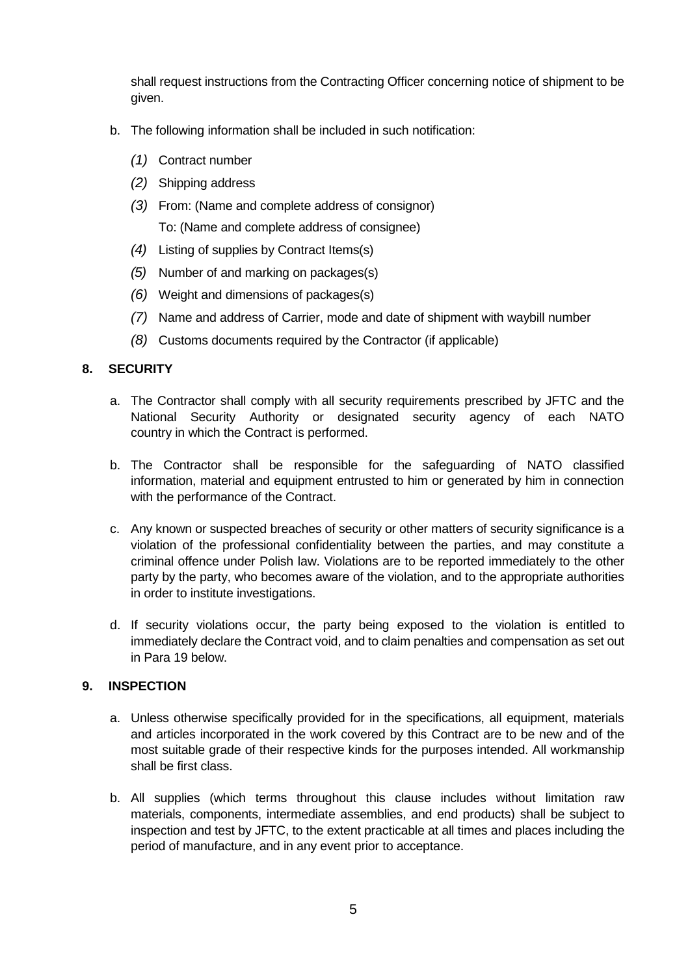shall request instructions from the Contracting Officer concerning notice of shipment to be given.

- b. The following information shall be included in such notification:
	- *(1)* Contract number
	- *(2)* Shipping address
	- *(3)* From: (Name and complete address of consignor) To: (Name and complete address of consignee)
	- *(4)* Listing of supplies by Contract Items(s)
	- *(5)* Number of and marking on packages(s)
	- *(6)* Weight and dimensions of packages(s)
	- *(7)* Name and address of Carrier, mode and date of shipment with waybill number
	- *(8)* Customs documents required by the Contractor (if applicable)

# <span id="page-4-0"></span>**8. SECURITY**

- a. The Contractor shall comply with all security requirements prescribed by JFTC and the National Security Authority or designated security agency of each NATO country in which the Contract is performed.
- b. The Contractor shall be responsible for the safeguarding of NATO classified information, material and equipment entrusted to him or generated by him in connection with the performance of the Contract.
- c. Any known or suspected breaches of security or other matters of security significance is a violation of the professional confidentiality between the parties, and may constitute a criminal offence under Polish law. Violations are to be reported immediately to the other party by the party, who becomes aware of the violation, and to the appropriate authorities in order to institute investigations.
- d. If security violations occur, the party being exposed to the violation is entitled to immediately declare the Contract void, and to claim penalties and compensation as set out in Para 19 below.

# <span id="page-4-1"></span>**9. INSPECTION**

- a. Unless otherwise specifically provided for in the specifications, all equipment, materials and articles incorporated in the work covered by this Contract are to be new and of the most suitable grade of their respective kinds for the purposes intended. All workmanship shall be first class.
- b. All supplies (which terms throughout this clause includes without limitation raw materials, components, intermediate assemblies, and end products) shall be subject to inspection and test by JFTC, to the extent practicable at all times and places including the period of manufacture, and in any event prior to acceptance.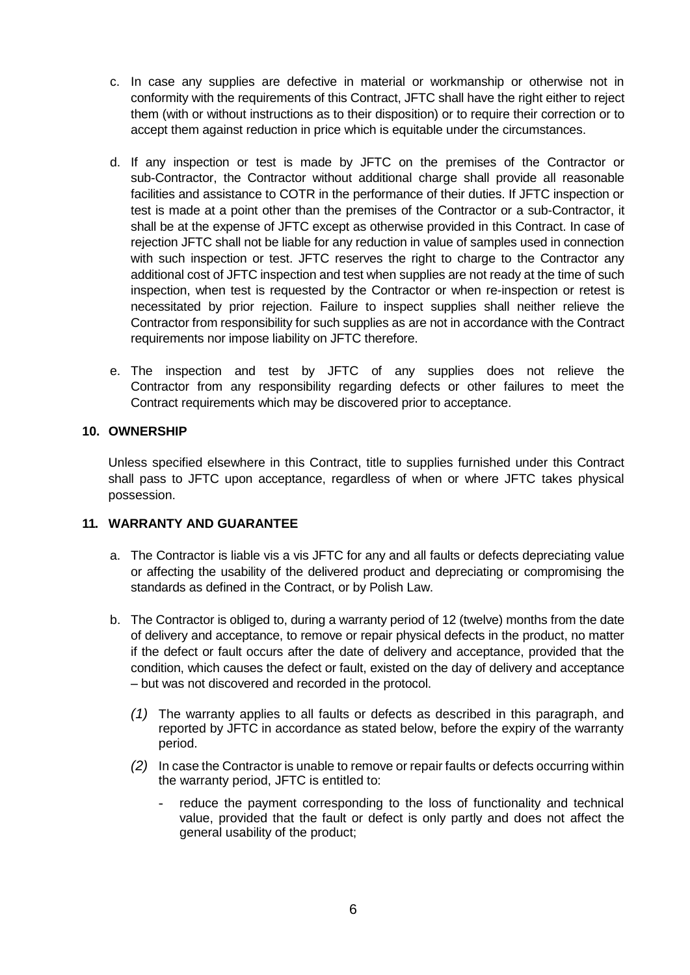- c. In case any supplies are defective in material or workmanship or otherwise not in conformity with the requirements of this Contract, JFTC shall have the right either to reject them (with or without instructions as to their disposition) or to require their correction or to accept them against reduction in price which is equitable under the circumstances.
- d. If any inspection or test is made by JFTC on the premises of the Contractor or sub-Contractor, the Contractor without additional charge shall provide all reasonable facilities and assistance to COTR in the performance of their duties. If JFTC inspection or test is made at a point other than the premises of the Contractor or a sub-Contractor, it shall be at the expense of JFTC except as otherwise provided in this Contract. In case of rejection JFTC shall not be liable for any reduction in value of samples used in connection with such inspection or test. JFTC reserves the right to charge to the Contractor any additional cost of JFTC inspection and test when supplies are not ready at the time of such inspection, when test is requested by the Contractor or when re-inspection or retest is necessitated by prior rejection. Failure to inspect supplies shall neither relieve the Contractor from responsibility for such supplies as are not in accordance with the Contract requirements nor impose liability on JFTC therefore.
- e. The inspection and test by JFTC of any supplies does not relieve the Contractor from any responsibility regarding defects or other failures to meet the Contract requirements which may be discovered prior to acceptance.

# <span id="page-5-0"></span>**10. OWNERSHIP**

Unless specified elsewhere in this Contract, title to supplies furnished under this Contract shall pass to JFTC upon acceptance, regardless of when or where JFTC takes physical possession.

# <span id="page-5-1"></span>**11. WARRANTY AND GUARANTEE**

- a. The Contractor is liable vis a vis JFTC for any and all faults or defects depreciating value or affecting the usability of the delivered product and depreciating or compromising the standards as defined in the Contract, or by Polish Law.
- b. The Contractor is obliged to, during a warranty period of 12 (twelve) months from the date of delivery and acceptance, to remove or repair physical defects in the product, no matter if the defect or fault occurs after the date of delivery and acceptance, provided that the condition, which causes the defect or fault, existed on the day of delivery and acceptance – but was not discovered and recorded in the protocol.
	- *(1)* The warranty applies to all faults or defects as described in this paragraph, and reported by JFTC in accordance as stated below, before the expiry of the warranty period.
	- *(2)* In case the Contractor is unable to remove or repair faults or defects occurring within the warranty period, JFTC is entitled to:
		- reduce the payment corresponding to the loss of functionality and technical value, provided that the fault or defect is only partly and does not affect the general usability of the product;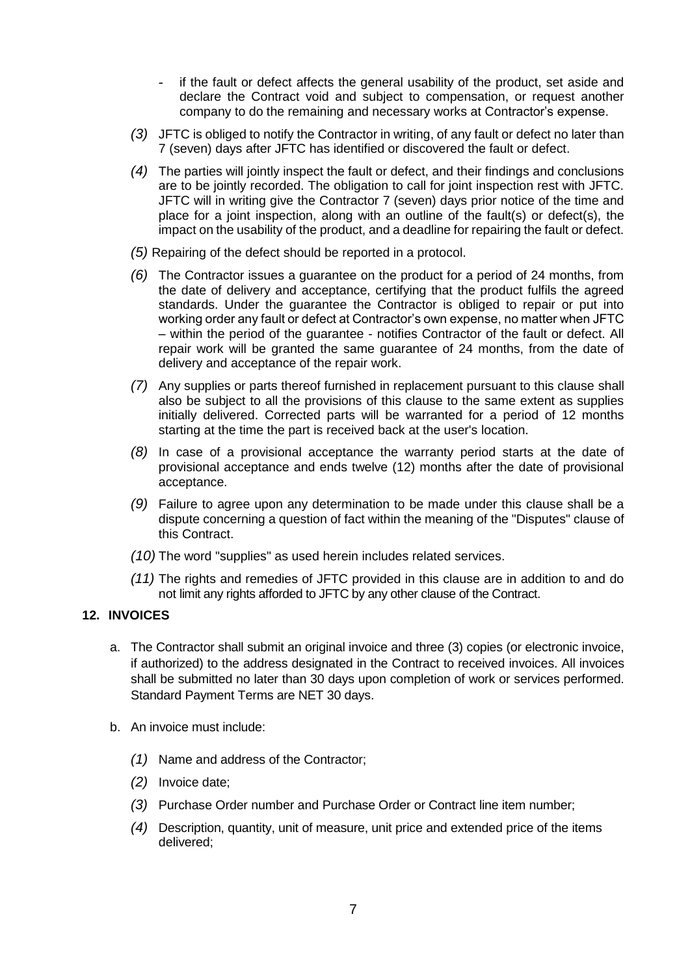- if the fault or defect affects the general usability of the product, set aside and declare the Contract void and subject to compensation, or request another company to do the remaining and necessary works at Contractor's expense.
- *(3)* JFTC is obliged to notify the Contractor in writing, of any fault or defect no later than 7 (seven) days after JFTC has identified or discovered the fault or defect.
- *(4)* The parties will jointly inspect the fault or defect, and their findings and conclusions are to be jointly recorded. The obligation to call for joint inspection rest with JFTC. JFTC will in writing give the Contractor 7 (seven) days prior notice of the time and place for a joint inspection, along with an outline of the fault(s) or defect(s), the impact on the usability of the product, and a deadline for repairing the fault or defect.
- *(5)* Repairing of the defect should be reported in a protocol.
- *(6)* The Contractor issues a guarantee on the product for a period of 24 months, from the date of delivery and acceptance, certifying that the product fulfils the agreed standards. Under the guarantee the Contractor is obliged to repair or put into working order any fault or defect at Contractor's own expense, no matter when JFTC – within the period of the guarantee - notifies Contractor of the fault or defect. All repair work will be granted the same guarantee of 24 months, from the date of delivery and acceptance of the repair work.
- *(7)* Any supplies or parts thereof furnished in replacement pursuant to this clause shall also be subject to all the provisions of this clause to the same extent as supplies initially delivered. Corrected parts will be warranted for a period of 12 months starting at the time the part is received back at the user's location.
- *(8)* In case of a provisional acceptance the warranty period starts at the date of provisional acceptance and ends twelve (12) months after the date of provisional acceptance.
- *(9)* Failure to agree upon any determination to be made under this clause shall be a dispute concerning a question of fact within the meaning of the "Disputes" clause of this Contract.
- *(10)* The word "supplies" as used herein includes related services.
- *(11)* The rights and remedies of JFTC provided in this clause are in addition to and do not limit any rights afforded to JFTC by any other clause of the Contract.

#### <span id="page-6-0"></span>**12. INVOICES**

- a. The Contractor shall submit an original invoice and three (3) copies (or electronic invoice, if authorized) to the address designated in the Contract to received invoices. All invoices shall be submitted no later than 30 days upon completion of work or services performed. Standard Payment Terms are NET 30 days.
- b. An invoice must include:
	- *(1)* Name and address of the Contractor;
	- *(2)* Invoice date;
	- *(3)* Purchase Order number and Purchase Order or Contract line item number;
	- *(4)* Description, quantity, unit of measure, unit price and extended price of the items delivered;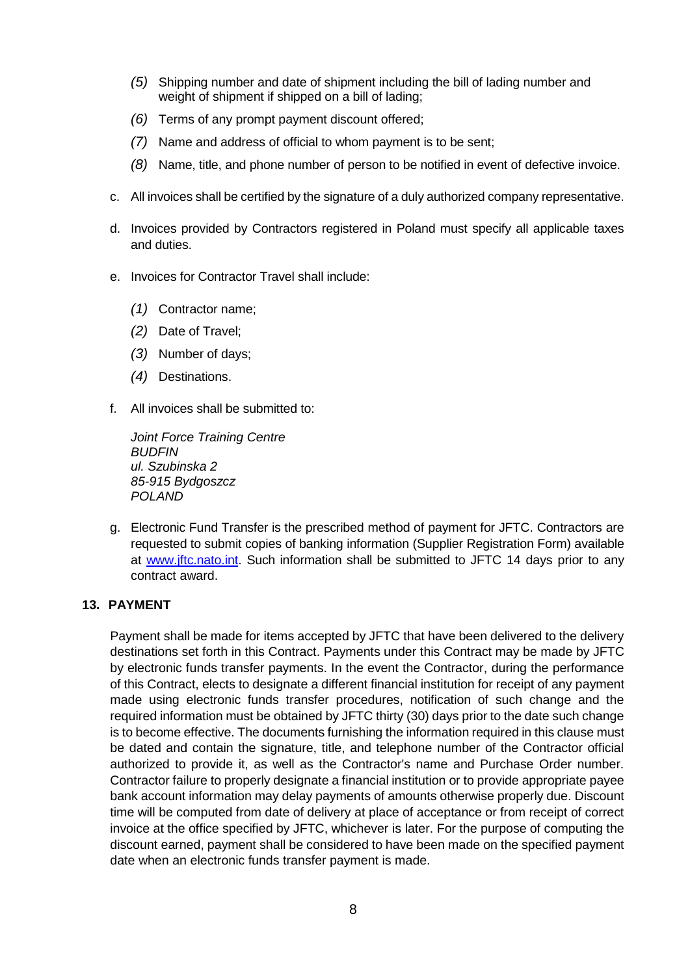- *(5)* Shipping number and date of shipment including the bill of lading number and weight of shipment if shipped on a bill of lading;
- *(6)* Terms of any prompt payment discount offered;
- *(7)* Name and address of official to whom payment is to be sent;
- *(8)* Name, title, and phone number of person to be notified in event of defective invoice.
- c. All invoices shall be certified by the signature of a duly authorized company representative.
- d. Invoices provided by Contractors registered in Poland must specify all applicable taxes and duties.
- e. Invoices for Contractor Travel shall include:
	- *(1)* Contractor name;
	- *(2)* Date of Travel;
	- *(3)* Number of days;
	- *(4)* Destinations.
- f. All invoices shall be submitted to:

*Joint Force Training Centre BUDFIN ul. Szubinska 2 85-915 Bydgoszcz POLAND*

g. Electronic Fund Transfer is the prescribed method of payment for JFTC. Contractors are requested to submit copies of banking information (Supplier Registration Form) available at [www.jftc.nato.int.](http://www.jftc.nato.int/) Such information shall be submitted to JFTC 14 days prior to any contract award.

#### <span id="page-7-0"></span>**13. PAYMENT**

Payment shall be made for items accepted by JFTC that have been delivered to the delivery destinations set forth in this Contract. Payments under this Contract may be made by JFTC by electronic funds transfer payments. In the event the Contractor, during the performance of this Contract, elects to designate a different financial institution for receipt of any payment made using electronic funds transfer procedures, notification of such change and the required information must be obtained by JFTC thirty (30) days prior to the date such change is to become effective. The documents furnishing the information required in this clause must be dated and contain the signature, title, and telephone number of the Contractor official authorized to provide it, as well as the Contractor's name and Purchase Order number. Contractor failure to properly designate a financial institution or to provide appropriate payee bank account information may delay payments of amounts otherwise properly due. Discount time will be computed from date of delivery at place of acceptance or from receipt of correct invoice at the office specified by JFTC, whichever is later. For the purpose of computing the discount earned, payment shall be considered to have been made on the specified payment date when an electronic funds transfer payment is made.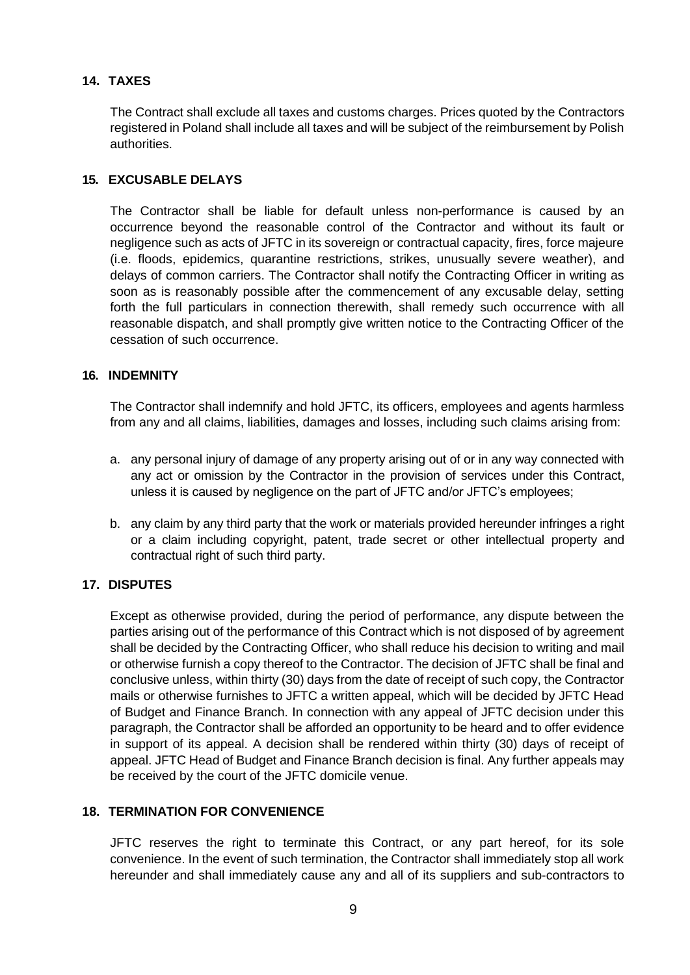# <span id="page-8-0"></span>**14. TAXES**

The Contract shall exclude all taxes and customs charges. Prices quoted by the Contractors registered in Poland shall include all taxes and will be subject of the reimbursement by Polish authorities.

# <span id="page-8-1"></span>**15. EXCUSABLE DELAYS**

The Contractor shall be liable for default unless non-performance is caused by an occurrence beyond the reasonable control of the Contractor and without its fault or negligence such as acts of JFTC in its sovereign or contractual capacity, fires, force majeure (i.e. floods, epidemics, quarantine restrictions, strikes, unusually severe weather), and delays of common carriers. The Contractor shall notify the Contracting Officer in writing as soon as is reasonably possible after the commencement of any excusable delay, setting forth the full particulars in connection therewith, shall remedy such occurrence with all reasonable dispatch, and shall promptly give written notice to the Contracting Officer of the cessation of such occurrence.

# <span id="page-8-2"></span>**16. INDEMNITY**

The Contractor shall indemnify and hold JFTC, its officers, employees and agents harmless from any and all claims, liabilities, damages and losses, including such claims arising from:

- a. any personal injury of damage of any property arising out of or in any way connected with any act or omission by the Contractor in the provision of services under this Contract, unless it is caused by negligence on the part of JFTC and/or JFTC's employees;
- b. any claim by any third party that the work or materials provided hereunder infringes a right or a claim including copyright, patent, trade secret or other intellectual property and contractual right of such third party.

# <span id="page-8-3"></span>**17. DISPUTES**

Except as otherwise provided, during the period of performance, any dispute between the parties arising out of the performance of this Contract which is not disposed of by agreement shall be decided by the Contracting Officer, who shall reduce his decision to writing and mail or otherwise furnish a copy thereof to the Contractor. The decision of JFTC shall be final and conclusive unless, within thirty (30) days from the date of receipt of such copy, the Contractor mails or otherwise furnishes to JFTC a written appeal, which will be decided by JFTC Head of Budget and Finance Branch. In connection with any appeal of JFTC decision under this paragraph, the Contractor shall be afforded an opportunity to be heard and to offer evidence in support of its appeal. A decision shall be rendered within thirty (30) days of receipt of appeal. JFTC Head of Budget and Finance Branch decision is final. Any further appeals may be received by the court of the JFTC domicile venue.

# <span id="page-8-4"></span>**18. TERMINATION FOR CONVENIENCE**

JFTC reserves the right to terminate this Contract, or any part hereof, for its sole convenience. In the event of such termination, the Contractor shall immediately stop all work hereunder and shall immediately cause any and all of its suppliers and sub-contractors to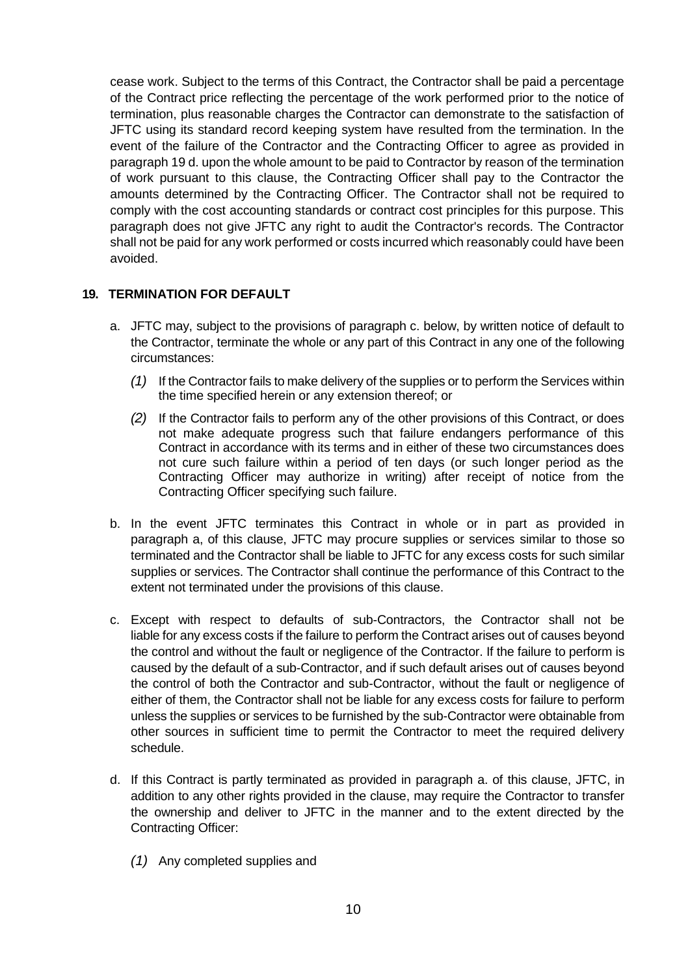cease work. Subject to the terms of this Contract, the Contractor shall be paid a percentage of the Contract price reflecting the percentage of the work performed prior to the notice of termination, plus reasonable charges the Contractor can demonstrate to the satisfaction of JFTC using its standard record keeping system have resulted from the termination. In the event of the failure of the Contractor and the Contracting Officer to agree as provided in paragraph 19 d. upon the whole amount to be paid to Contractor by reason of the termination of work pursuant to this clause, the Contracting Officer shall pay to the Contractor the amounts determined by the Contracting Officer. The Contractor shall not be required to comply with the cost accounting standards or contract cost principles for this purpose. This paragraph does not give JFTC any right to audit the Contractor's records. The Contractor shall not be paid for any work performed or costs incurred which reasonably could have been avoided.

# <span id="page-9-0"></span>**19. TERMINATION FOR DEFAULT**

- a. JFTC may, subject to the provisions of paragraph c. below, by written notice of default to the Contractor, terminate the whole or any part of this Contract in any one of the following circumstances:
	- *(1)* If the Contractor fails to make delivery of the supplies or to perform the Services within the time specified herein or any extension thereof; or
	- *(2)* If the Contractor fails to perform any of the other provisions of this Contract, or does not make adequate progress such that failure endangers performance of this Contract in accordance with its terms and in either of these two circumstances does not cure such failure within a period of ten days (or such longer period as the Contracting Officer may authorize in writing) after receipt of notice from the Contracting Officer specifying such failure.
- b. In the event JFTC terminates this Contract in whole or in part as provided in paragraph a, of this clause, JFTC may procure supplies or services similar to those so terminated and the Contractor shall be liable to JFTC for any excess costs for such similar supplies or services. The Contractor shall continue the performance of this Contract to the extent not terminated under the provisions of this clause.
- c. Except with respect to defaults of sub-Contractors, the Contractor shall not be liable for any excess costs if the failure to perform the Contract arises out of causes beyond the control and without the fault or negligence of the Contractor. If the failure to perform is caused by the default of a sub-Contractor, and if such default arises out of causes beyond the control of both the Contractor and sub-Contractor, without the fault or negligence of either of them, the Contractor shall not be liable for any excess costs for failure to perform unless the supplies or services to be furnished by the sub-Contractor were obtainable from other sources in sufficient time to permit the Contractor to meet the required delivery schedule.
- d. If this Contract is partly terminated as provided in paragraph a. of this clause, JFTC, in addition to any other rights provided in the clause, may require the Contractor to transfer the ownership and deliver to JFTC in the manner and to the extent directed by the Contracting Officer:
	- *(1)* Any completed supplies and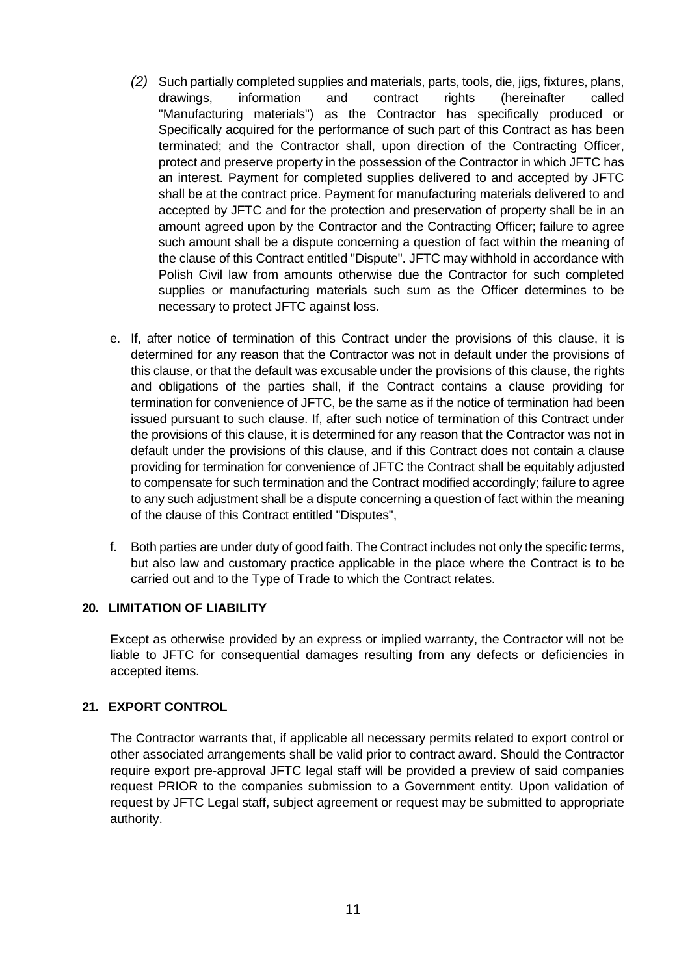- *(2)* Such partially completed supplies and materials, parts, tools, die, jigs, fixtures, plans, drawings, information and contract rights (hereinafter called "Manufacturing materials") as the Contractor has specifically produced or Specifically acquired for the performance of such part of this Contract as has been terminated; and the Contractor shall, upon direction of the Contracting Officer, protect and preserve property in the possession of the Contractor in which JFTC has an interest. Payment for completed supplies delivered to and accepted by JFTC shall be at the contract price. Payment for manufacturing materials delivered to and accepted by JFTC and for the protection and preservation of property shall be in an amount agreed upon by the Contractor and the Contracting Officer; failure to agree such amount shall be a dispute concerning a question of fact within the meaning of the clause of this Contract entitled "Dispute". JFTC may withhold in accordance with Polish Civil law from amounts otherwise due the Contractor for such completed supplies or manufacturing materials such sum as the Officer determines to be necessary to protect JFTC against loss.
- e. If, after notice of termination of this Contract under the provisions of this clause, it is determined for any reason that the Contractor was not in default under the provisions of this clause, or that the default was excusable under the provisions of this clause, the rights and obligations of the parties shall, if the Contract contains a clause providing for termination for convenience of JFTC, be the same as if the notice of termination had been issued pursuant to such clause. If, after such notice of termination of this Contract under the provisions of this clause, it is determined for any reason that the Contractor was not in default under the provisions of this clause, and if this Contract does not contain a clause providing for termination for convenience of JFTC the Contract shall be equitably adjusted to compensate for such termination and the Contract modified accordingly; failure to agree to any such adjustment shall be a dispute concerning a question of fact within the meaning of the clause of this Contract entitled "Disputes",
- f. Both parties are under duty of good faith. The Contract includes not only the specific terms, but also law and customary practice applicable in the place where the Contract is to be carried out and to the Type of Trade to which the Contract relates.

# <span id="page-10-0"></span>**20. LIMITATION OF LIABILITY**

Except as otherwise provided by an express or implied warranty, the Contractor will not be liable to JFTC for consequential damages resulting from any defects or deficiencies in accepted items.

# <span id="page-10-1"></span>**21. EXPORT CONTROL**

The Contractor warrants that, if applicable all necessary permits related to export control or other associated arrangements shall be valid prior to contract award. Should the Contractor require export pre-approval JFTC legal staff will be provided a preview of said companies request PRIOR to the companies submission to a Government entity. Upon validation of request by JFTC Legal staff, subject agreement or request may be submitted to appropriate authority.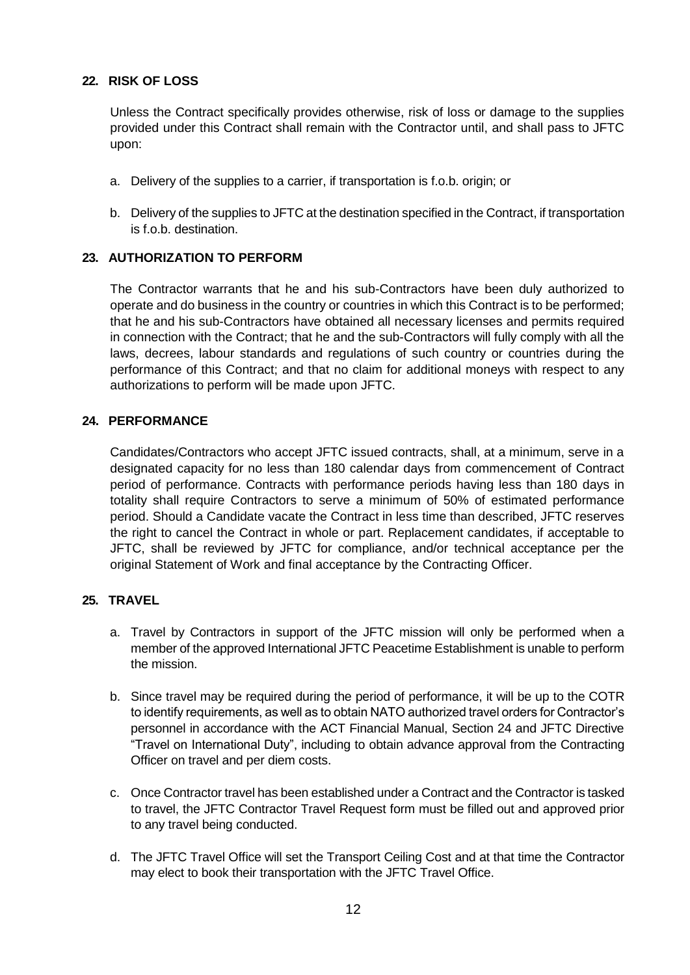# <span id="page-11-0"></span>**22. RISK OF LOSS**

Unless the Contract specifically provides otherwise, risk of loss or damage to the supplies provided under this Contract shall remain with the Contractor until, and shall pass to JFTC upon:

- a. Delivery of the supplies to a carrier, if transportation is f.o.b. origin; or
- b. Delivery of the supplies to JFTC at the destination specified in the Contract, if transportation is f.o.b. destination.

# <span id="page-11-1"></span>**23. AUTHORIZATION TO PERFORM**

The Contractor warrants that he and his sub-Contractors have been duly authorized to operate and do business in the country or countries in which this Contract is to be performed; that he and his sub-Contractors have obtained all necessary licenses and permits required in connection with the Contract; that he and the sub-Contractors will fully comply with all the laws, decrees, labour standards and regulations of such country or countries during the performance of this Contract; and that no claim for additional moneys with respect to any authorizations to perform will be made upon JFTC.

# <span id="page-11-2"></span>**24. PERFORMANCE**

Candidates/Contractors who accept JFTC issued contracts, shall, at a minimum, serve in a designated capacity for no less than 180 calendar days from commencement of Contract period of performance. Contracts with performance periods having less than 180 days in totality shall require Contractors to serve a minimum of 50% of estimated performance period. Should a Candidate vacate the Contract in less time than described, JFTC reserves the right to cancel the Contract in whole or part. Replacement candidates, if acceptable to JFTC, shall be reviewed by JFTC for compliance, and/or technical acceptance per the original Statement of Work and final acceptance by the Contracting Officer.

# <span id="page-11-3"></span>**25. TRAVEL**

- a. Travel by Contractors in support of the JFTC mission will only be performed when a member of the approved International JFTC Peacetime Establishment is unable to perform the mission.
- b. Since travel may be required during the period of performance, it will be up to the COTR to identify requirements, as well as to obtain NATO authorized travel orders for Contractor's personnel in accordance with the ACT Financial Manual, Section 24 and JFTC Directive "Travel on International Duty", including to obtain advance approval from the Contracting Officer on travel and per diem costs.
- c. Once Contractor travel has been established under a Contract and the Contractor is tasked to travel, the JFTC Contractor Travel Request form must be filled out and approved prior to any travel being conducted.
- d. The JFTC Travel Office will set the Transport Ceiling Cost and at that time the Contractor may elect to book their transportation with the JFTC Travel Office.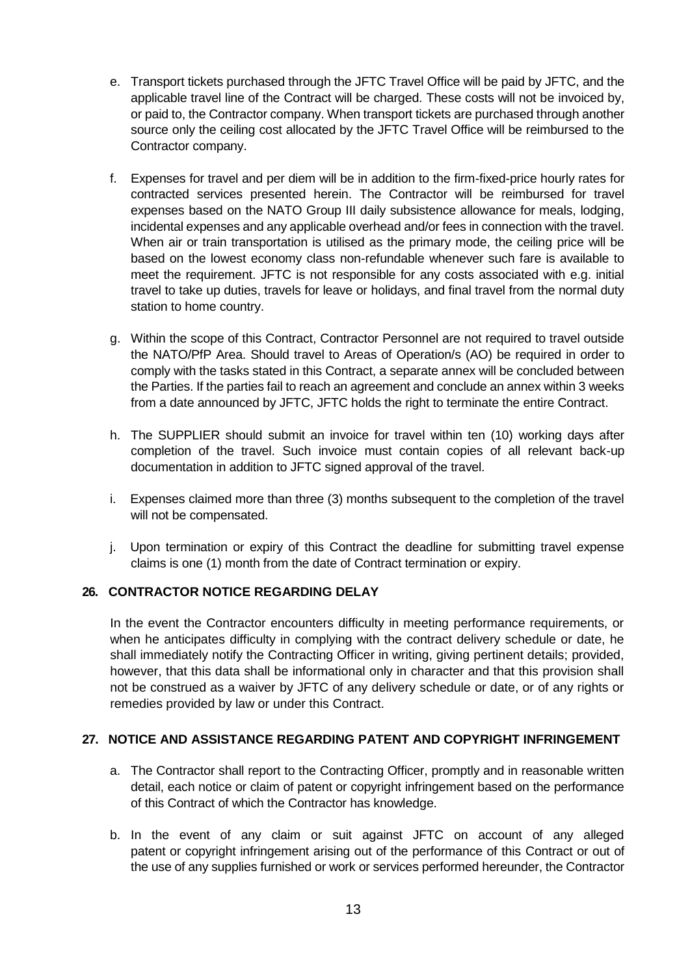- e. Transport tickets purchased through the JFTC Travel Office will be paid by JFTC, and the applicable travel line of the Contract will be charged. These costs will not be invoiced by, or paid to, the Contractor company. When transport tickets are purchased through another source only the ceiling cost allocated by the JFTC Travel Office will be reimbursed to the Contractor company.
- f. Expenses for travel and per diem will be in addition to the firm-fixed-price hourly rates for contracted services presented herein. The Contractor will be reimbursed for travel expenses based on the NATO Group III daily subsistence allowance for meals, lodging, incidental expenses and any applicable overhead and/or fees in connection with the travel. When air or train transportation is utilised as the primary mode, the ceiling price will be based on the lowest economy class non-refundable whenever such fare is available to meet the requirement. JFTC is not responsible for any costs associated with e.g. initial travel to take up duties, travels for leave or holidays, and final travel from the normal duty station to home country.
- g. Within the scope of this Contract, Contractor Personnel are not required to travel outside the NATO/PfP Area. Should travel to Areas of Operation/s (AO) be required in order to comply with the tasks stated in this Contract, a separate annex will be concluded between the Parties. If the parties fail to reach an agreement and conclude an annex within 3 weeks from a date announced by JFTC, JFTC holds the right to terminate the entire Contract.
- h. The SUPPLIER should submit an invoice for travel within ten (10) working days after completion of the travel. Such invoice must contain copies of all relevant back-up documentation in addition to JFTC signed approval of the travel.
- i. Expenses claimed more than three (3) months subsequent to the completion of the travel will not be compensated.
- j. Upon termination or expiry of this Contract the deadline for submitting travel expense claims is one (1) month from the date of Contract termination or expiry.

# <span id="page-12-0"></span>**26. CONTRACTOR NOTICE REGARDING DELAY**

In the event the Contractor encounters difficulty in meeting performance requirements, or when he anticipates difficulty in complying with the contract delivery schedule or date, he shall immediately notify the Contracting Officer in writing, giving pertinent details; provided, however, that this data shall be informational only in character and that this provision shall not be construed as a waiver by JFTC of any delivery schedule or date, or of any rights or remedies provided by law or under this Contract.

# <span id="page-12-1"></span>**27. NOTICE AND ASSISTANCE REGARDING PATENT AND COPYRIGHT INFRINGEMENT**

- a. The Contractor shall report to the Contracting Officer, promptly and in reasonable written detail, each notice or claim of patent or copyright infringement based on the performance of this Contract of which the Contractor has knowledge.
- b. In the event of any claim or suit against JFTC on account of any alleged patent or copyright infringement arising out of the performance of this Contract or out of the use of any supplies furnished or work or services performed hereunder, the Contractor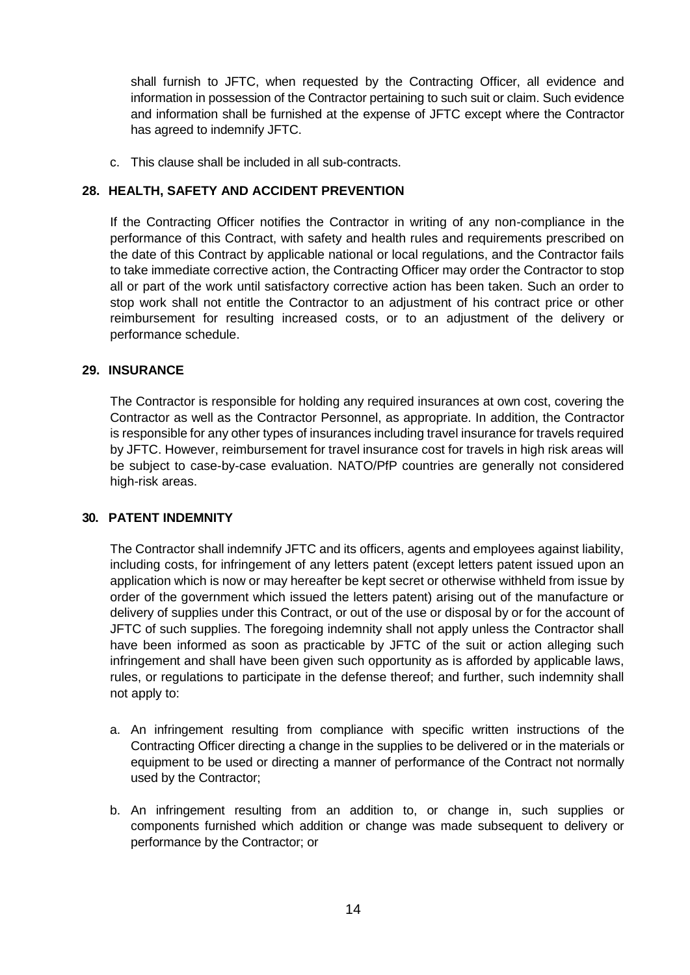shall furnish to JFTC, when requested by the Contracting Officer, all evidence and information in possession of the Contractor pertaining to such suit or claim. Such evidence and information shall be furnished at the expense of JFTC except where the Contractor has agreed to indemnify JFTC.

c. This clause shall be included in all sub-contracts.

# <span id="page-13-0"></span>**28. HEALTH, SAFETY AND ACCIDENT PREVENTION**

If the Contracting Officer notifies the Contractor in writing of any non-compliance in the performance of this Contract, with safety and health rules and requirements prescribed on the date of this Contract by applicable national or local regulations, and the Contractor fails to take immediate corrective action, the Contracting Officer may order the Contractor to stop all or part of the work until satisfactory corrective action has been taken. Such an order to stop work shall not entitle the Contractor to an adjustment of his contract price or other reimbursement for resulting increased costs, or to an adjustment of the delivery or performance schedule.

# <span id="page-13-1"></span>**29. INSURANCE**

The Contractor is responsible for holding any required insurances at own cost, covering the Contractor as well as the Contractor Personnel, as appropriate. In addition, the Contractor is responsible for any other types of insurances including travel insurance for travels required by JFTC. However, reimbursement for travel insurance cost for travels in high risk areas will be subject to case-by-case evaluation. NATO/PfP countries are generally not considered high-risk areas.

# <span id="page-13-2"></span>**30. PATENT INDEMNITY**

The Contractor shall indemnify JFTC and its officers, agents and employees against liability, including costs, for infringement of any letters patent (except letters patent issued upon an application which is now or may hereafter be kept secret or otherwise withheld from issue by order of the government which issued the letters patent) arising out of the manufacture or delivery of supplies under this Contract, or out of the use or disposal by or for the account of JFTC of such supplies. The foregoing indemnity shall not apply unless the Contractor shall have been informed as soon as practicable by JFTC of the suit or action alleging such infringement and shall have been given such opportunity as is afforded by applicable laws, rules, or regulations to participate in the defense thereof; and further, such indemnity shall not apply to:

- a. An infringement resulting from compliance with specific written instructions of the Contracting Officer directing a change in the supplies to be delivered or in the materials or equipment to be used or directing a manner of performance of the Contract not normally used by the Contractor;
- b. An infringement resulting from an addition to, or change in, such supplies or components furnished which addition or change was made subsequent to delivery or performance by the Contractor; or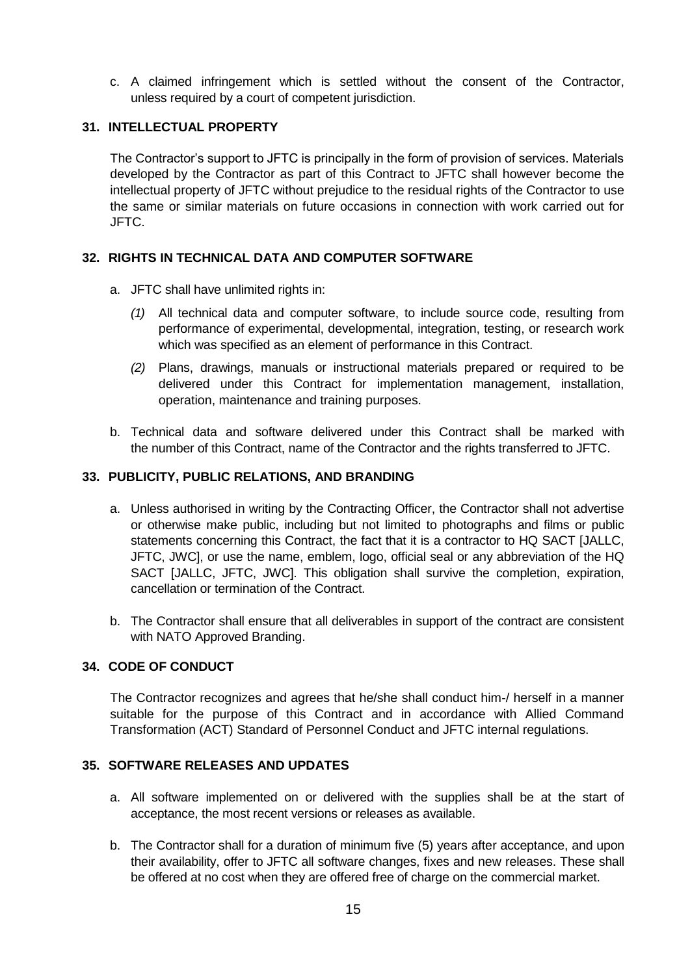c. A claimed infringement which is settled without the consent of the Contractor, unless required by a court of competent jurisdiction.

# <span id="page-14-0"></span>**31. INTELLECTUAL PROPERTY**

The Contractor's support to JFTC is principally in the form of provision of services. Materials developed by the Contractor as part of this Contract to JFTC shall however become the intellectual property of JFTC without prejudice to the residual rights of the Contractor to use the same or similar materials on future occasions in connection with work carried out for JFTC.

# <span id="page-14-1"></span>**32. RIGHTS IN TECHNICAL DATA AND COMPUTER SOFTWARE**

- a. JFTC shall have unlimited rights in:
	- *(1)* All technical data and computer software, to include source code, resulting from performance of experimental, developmental, integration, testing, or research work which was specified as an element of performance in this Contract.
	- *(2)* Plans, drawings, manuals or instructional materials prepared or required to be delivered under this Contract for implementation management, installation, operation, maintenance and training purposes.
- b. Technical data and software delivered under this Contract shall be marked with the number of this Contract, name of the Contractor and the rights transferred to JFTC.

# <span id="page-14-2"></span>**33. PUBLICITY, PUBLIC RELATIONS, AND BRANDING**

- a. Unless authorised in writing by the Contracting Officer, the Contractor shall not advertise or otherwise make public, including but not limited to photographs and films or public statements concerning this Contract, the fact that it is a contractor to HQ SACT [JALLC, JFTC, JWC], or use the name, emblem, logo, official seal or any abbreviation of the HQ SACT [JALLC, JFTC, JWC]. This obligation shall survive the completion, expiration, cancellation or termination of the Contract.
- b. The Contractor shall ensure that all deliverables in support of the contract are consistent with NATO Approved Branding.

# <span id="page-14-3"></span>**34. CODE OF CONDUCT**

The Contractor recognizes and agrees that he/she shall conduct him-/ herself in a manner suitable for the purpose of this Contract and in accordance with Allied Command Transformation (ACT) Standard of Personnel Conduct and JFTC internal regulations.

# <span id="page-14-4"></span>**35. SOFTWARE RELEASES AND UPDATES**

- a. All software implemented on or delivered with the supplies shall be at the start of acceptance, the most recent versions or releases as available.
- b. The Contractor shall for a duration of minimum five (5) years after acceptance, and upon their availability, offer to JFTC all software changes, fixes and new releases. These shall be offered at no cost when they are offered free of charge on the commercial market.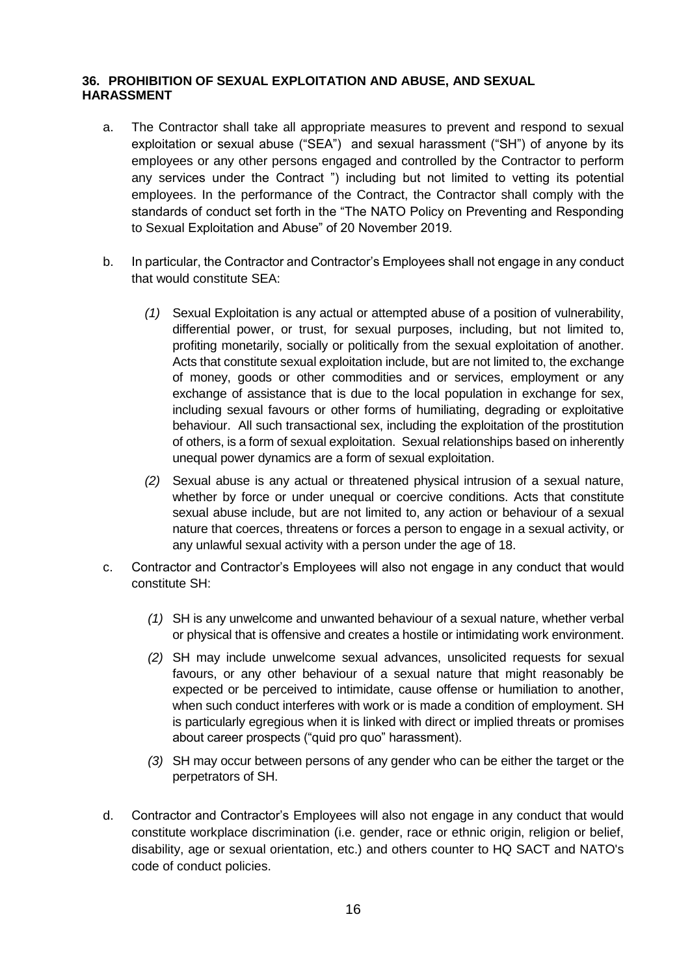# <span id="page-15-0"></span>**36. PROHIBITION OF SEXUAL EXPLOITATION AND ABUSE, AND SEXUAL HARASSMENT**

- a. The Contractor shall take all appropriate measures to prevent and respond to sexual exploitation or sexual abuse ("SEA") and sexual harassment ("SH") of anyone by its employees or any other persons engaged and controlled by the Contractor to perform any services under the Contract ") including but not limited to vetting its potential employees. In the performance of the Contract, the Contractor shall comply with the standards of conduct set forth in the "The NATO Policy on Preventing and Responding to Sexual Exploitation and Abuse" of 20 November 2019.
- b. In particular, the Contractor and Contractor's Employees shall not engage in any conduct that would constitute SEA:
	- *(1)* Sexual Exploitation is any actual or attempted abuse of a position of vulnerability, differential power, or trust, for sexual purposes, including, but not limited to, profiting monetarily, socially or politically from the sexual exploitation of another. Acts that constitute sexual exploitation include, but are not limited to, the exchange of money, goods or other commodities and or services, employment or any exchange of assistance that is due to the local population in exchange for sex, including sexual favours or other forms of humiliating, degrading or exploitative behaviour. All such transactional sex, including the exploitation of the prostitution of others, is a form of sexual exploitation. Sexual relationships based on inherently unequal power dynamics are a form of sexual exploitation.
	- *(2)* Sexual abuse is any actual or threatened physical intrusion of a sexual nature, whether by force or under unequal or coercive conditions. Acts that constitute sexual abuse include, but are not limited to, any action or behaviour of a sexual nature that coerces, threatens or forces a person to engage in a sexual activity, or any unlawful sexual activity with a person under the age of 18.
- c. Contractor and Contractor's Employees will also not engage in any conduct that would constitute SH:
	- *(1)* SH is any unwelcome and unwanted behaviour of a sexual nature, whether verbal or physical that is offensive and creates a hostile or intimidating work environment.
	- *(2)* SH may include unwelcome sexual advances, unsolicited requests for sexual favours, or any other behaviour of a sexual nature that might reasonably be expected or be perceived to intimidate, cause offense or humiliation to another, when such conduct interferes with work or is made a condition of employment. SH is particularly egregious when it is linked with direct or implied threats or promises about career prospects ("quid pro quo" harassment).
	- *(3)* SH may occur between persons of any gender who can be either the target or the perpetrators of SH.
- d. Contractor and Contractor's Employees will also not engage in any conduct that would constitute workplace discrimination (i.e. gender, race or ethnic origin, religion or belief, disability, age or sexual orientation, etc.) and others counter to HQ SACT and NATO's code of conduct policies.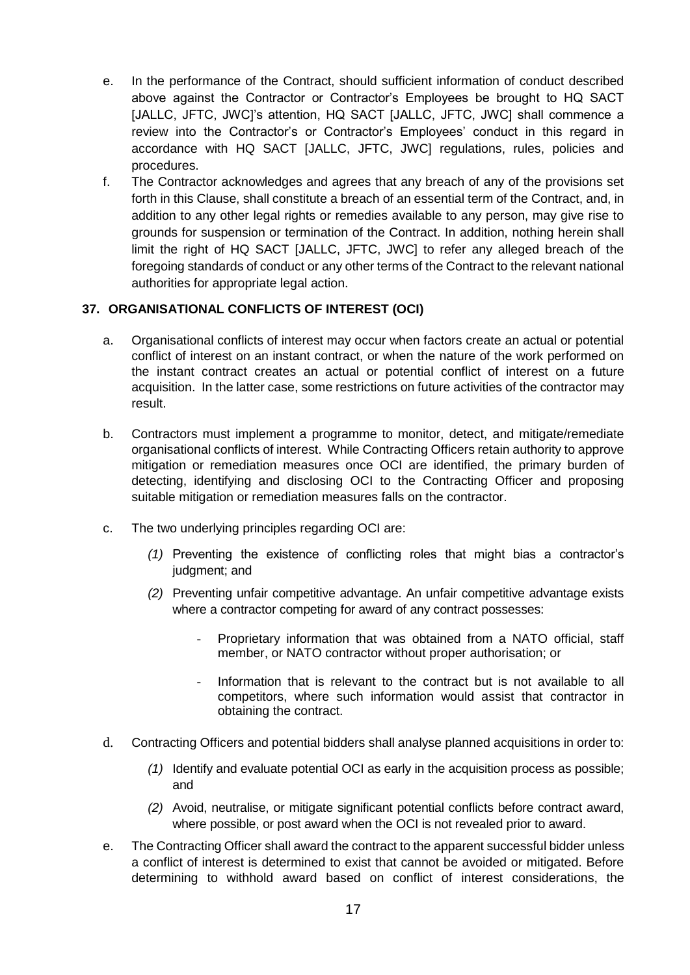- e. In the performance of the Contract, should sufficient information of conduct described above against the Contractor or Contractor's Employees be brought to HQ SACT [JALLC, JFTC, JWC]'s attention, HQ SACT [JALLC, JFTC, JWC] shall commence a review into the Contractor's or Contractor's Employees' conduct in this regard in accordance with HQ SACT [JALLC, JFTC, JWC] regulations, rules, policies and procedures.
- f. The Contractor acknowledges and agrees that any breach of any of the provisions set forth in this Clause, shall constitute a breach of an essential term of the Contract, and, in addition to any other legal rights or remedies available to any person, may give rise to grounds for suspension or termination of the Contract. In addition, nothing herein shall limit the right of HQ SACT [JALLC, JFTC, JWC] to refer any alleged breach of the foregoing standards of conduct or any other terms of the Contract to the relevant national authorities for appropriate legal action.

# <span id="page-16-0"></span>**37. ORGANISATIONAL CONFLICTS OF INTEREST (OCI)**

- a. Organisational conflicts of interest may occur when factors create an actual or potential conflict of interest on an instant contract, or when the nature of the work performed on the instant contract creates an actual or potential conflict of interest on a future acquisition. In the latter case, some restrictions on future activities of the contractor may result.
- b. Contractors must implement a programme to monitor, detect, and mitigate/remediate organisational conflicts of interest. While Contracting Officers retain authority to approve mitigation or remediation measures once OCI are identified, the primary burden of detecting, identifying and disclosing OCI to the Contracting Officer and proposing suitable mitigation or remediation measures falls on the contractor.
- c. The two underlying principles regarding OCI are:
	- *(1)* Preventing the existence of conflicting roles that might bias a contractor's judgment; and
	- *(2)* Preventing unfair competitive advantage. An unfair competitive advantage exists where a contractor competing for award of any contract possesses:
		- Proprietary information that was obtained from a NATO official, staff member, or NATO contractor without proper authorisation; or
		- Information that is relevant to the contract but is not available to all competitors, where such information would assist that contractor in obtaining the contract.
- d. Contracting Officers and potential bidders shall analyse planned acquisitions in order to:
	- *(1)* Identify and evaluate potential OCI as early in the acquisition process as possible; and
	- *(2)* Avoid, neutralise, or mitigate significant potential conflicts before contract award, where possible, or post award when the OCI is not revealed prior to award.
- e. The Contracting Officer shall award the contract to the apparent successful bidder unless a conflict of interest is determined to exist that cannot be avoided or mitigated. Before determining to withhold award based on conflict of interest considerations, the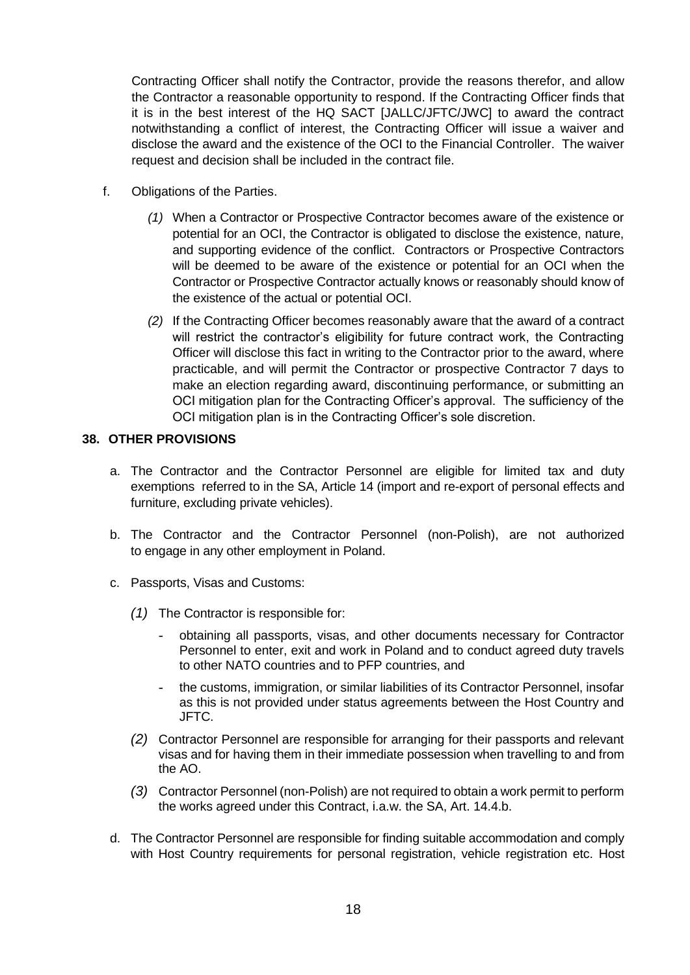Contracting Officer shall notify the Contractor, provide the reasons therefor, and allow the Contractor a reasonable opportunity to respond. If the Contracting Officer finds that it is in the best interest of the HQ SACT [JALLC/JFTC/JWC] to award the contract notwithstanding a conflict of interest, the Contracting Officer will issue a waiver and disclose the award and the existence of the OCI to the Financial Controller. The waiver request and decision shall be included in the contract file.

- f. Obligations of the Parties.
	- *(1)* When a Contractor or Prospective Contractor becomes aware of the existence or potential for an OCI, the Contractor is obligated to disclose the existence, nature, and supporting evidence of the conflict. Contractors or Prospective Contractors will be deemed to be aware of the existence or potential for an OCI when the Contractor or Prospective Contractor actually knows or reasonably should know of the existence of the actual or potential OCI.
	- *(2)* If the Contracting Officer becomes reasonably aware that the award of a contract will restrict the contractor's eligibility for future contract work, the Contracting Officer will disclose this fact in writing to the Contractor prior to the award, where practicable, and will permit the Contractor or prospective Contractor 7 days to make an election regarding award, discontinuing performance, or submitting an OCI mitigation plan for the Contracting Officer's approval. The sufficiency of the OCI mitigation plan is in the Contracting Officer's sole discretion.

# <span id="page-17-0"></span>**38. OTHER PROVISIONS**

- a. The Contractor and the Contractor Personnel are eligible for limited tax and duty exemptions referred to in the SA, Article 14 (import and re-export of personal effects and furniture, excluding private vehicles).
- b. The Contractor and the Contractor Personnel (non-Polish), are not authorized to engage in any other employment in Poland.
- c. Passports, Visas and Customs:
	- *(1)* The Contractor is responsible for:
		- obtaining all passports, visas, and other documents necessary for Contractor Personnel to enter, exit and work in Poland and to conduct agreed duty travels to other NATO countries and to PFP countries, and
		- the customs, immigration, or similar liabilities of its Contractor Personnel, insofar as this is not provided under status agreements between the Host Country and JFTC.
	- *(2)* Contractor Personnel are responsible for arranging for their passports and relevant visas and for having them in their immediate possession when travelling to and from the AO.
	- *(3)* Contractor Personnel (non-Polish) are not required to obtain a work permit to perform the works agreed under this Contract, i.a.w. the SA, Art. 14.4.b.
- d. The Contractor Personnel are responsible for finding suitable accommodation and comply with Host Country requirements for personal registration, vehicle registration etc. Host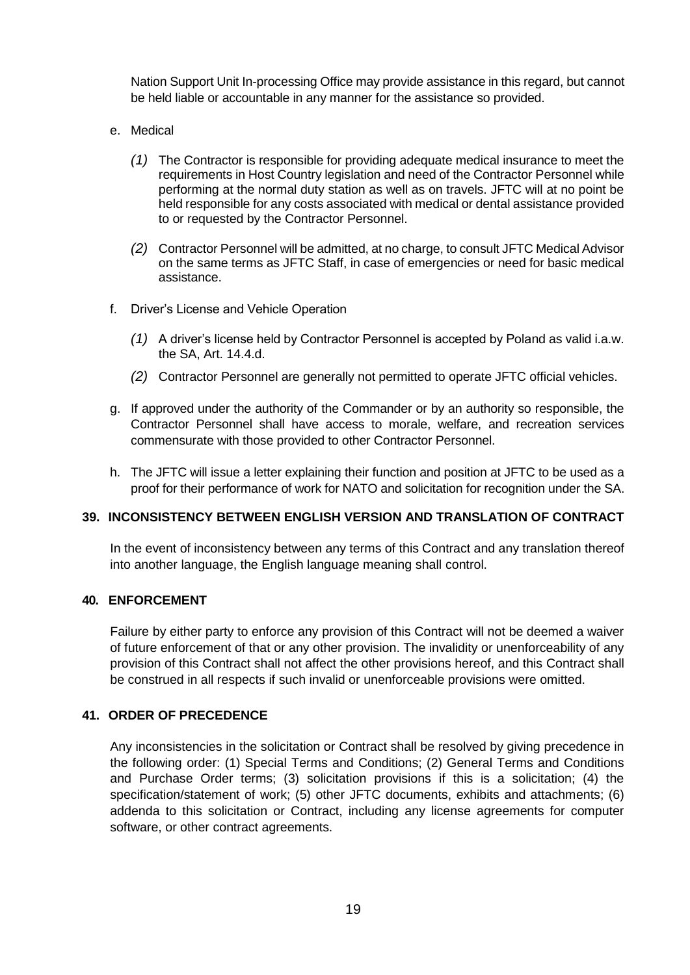Nation Support Unit In-processing Office may provide assistance in this regard, but cannot be held liable or accountable in any manner for the assistance so provided.

- e. Medical
	- *(1)* The Contractor is responsible for providing adequate medical insurance to meet the requirements in Host Country legislation and need of the Contractor Personnel while performing at the normal duty station as well as on travels. JFTC will at no point be held responsible for any costs associated with medical or dental assistance provided to or requested by the Contractor Personnel.
	- *(2)* Contractor Personnel will be admitted, at no charge, to consult JFTC Medical Advisor on the same terms as JFTC Staff, in case of emergencies or need for basic medical assistance.
- f. Driver's License and Vehicle Operation
	- *(1)* A driver's license held by Contractor Personnel is accepted by Poland as valid i.a.w. the SA, Art. 14.4.d.
	- *(2)* Contractor Personnel are generally not permitted to operate JFTC official vehicles.
- g. If approved under the authority of the Commander or by an authority so responsible, the Contractor Personnel shall have access to morale, welfare, and recreation services commensurate with those provided to other Contractor Personnel.
- h. The JFTC will issue a letter explaining their function and position at JFTC to be used as a proof for their performance of work for NATO and solicitation for recognition under the SA.

# <span id="page-18-0"></span>**39. INCONSISTENCY BETWEEN ENGLISH VERSION AND TRANSLATION OF CONTRACT**

In the event of inconsistency between any terms of this Contract and any translation thereof into another language, the English language meaning shall control.

#### <span id="page-18-1"></span>**40. ENFORCEMENT**

Failure by either party to enforce any provision of this Contract will not be deemed a waiver of future enforcement of that or any other provision. The invalidity or unenforceability of any provision of this Contract shall not affect the other provisions hereof, and this Contract shall be construed in all respects if such invalid or unenforceable provisions were omitted.

# <span id="page-18-2"></span>**41. ORDER OF PRECEDENCE**

Any inconsistencies in the solicitation or Contract shall be resolved by giving precedence in the following order: (1) Special Terms and Conditions; (2) General Terms and Conditions and Purchase Order terms; (3) solicitation provisions if this is a solicitation; (4) the specification/statement of work; (5) other JFTC documents, exhibits and attachments; (6) addenda to this solicitation or Contract, including any license agreements for computer software, or other contract agreements.